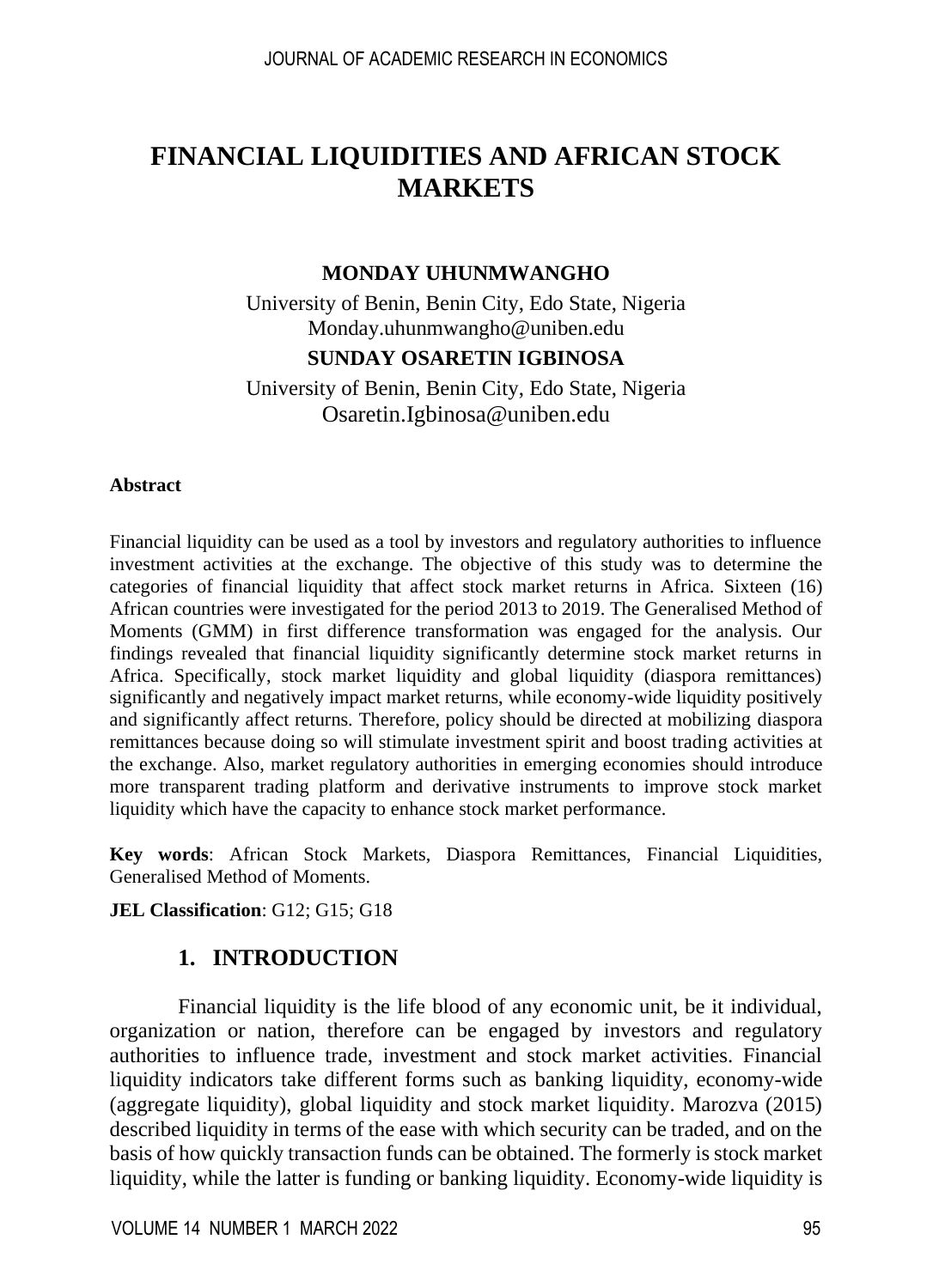# **FINANCIAL LIQUIDITIES AND AFRICAN STOCK MARKETS**

### **MONDAY UHUNMWANGHO**

University of Benin, Benin City, Edo State, Nigeria [Monday.uhunmwangho@uniben.edu](mailto:Monday.uhunmwangho@uniben.edu)

## **SUNDAY OSARETIN IGBINOSA**

University of Benin, Benin City, Edo State, Nigeria [Osaretin.Igbinosa@uniben.edu](mailto:Osaretin.Igbinosa@uniben.edu)

#### **Abstract**

Financial liquidity can be used as a tool by investors and regulatory authorities to influence investment activities at the exchange. The objective of this study was to determine the categories of financial liquidity that affect stock market returns in Africa. Sixteen (16) African countries were investigated for the period 2013 to 2019. The Generalised Method of Moments (GMM) in first difference transformation was engaged for the analysis. Our findings revealed that financial liquidity significantly determine stock market returns in Africa. Specifically, stock market liquidity and global liquidity (diaspora remittances) significantly and negatively impact market returns, while economy-wide liquidity positively and significantly affect returns. Therefore, policy should be directed at mobilizing diaspora remittances because doing so will stimulate investment spirit and boost trading activities at the exchange. Also, market regulatory authorities in emerging economies should introduce more transparent trading platform and derivative instruments to improve stock market liquidity which have the capacity to enhance stock market performance.

**Key words**: African Stock Markets, Diaspora Remittances, Financial Liquidities, Generalised Method of Moments.

**JEL Classification**: G12; G15; G18

## **1. INTRODUCTION**

Financial liquidity is the life blood of any economic unit, be it individual, organization or nation, therefore can be engaged by investors and regulatory authorities to influence trade, investment and stock market activities. Financial liquidity indicators take different forms such as banking liquidity, economy-wide (aggregate liquidity), global liquidity and stock market liquidity. Marozva (2015) described liquidity in terms of the ease with which security can be traded, and on the basis of how quickly transaction funds can be obtained. The formerly is stock market liquidity, while the latter is funding or banking liquidity. Economy-wide liquidity is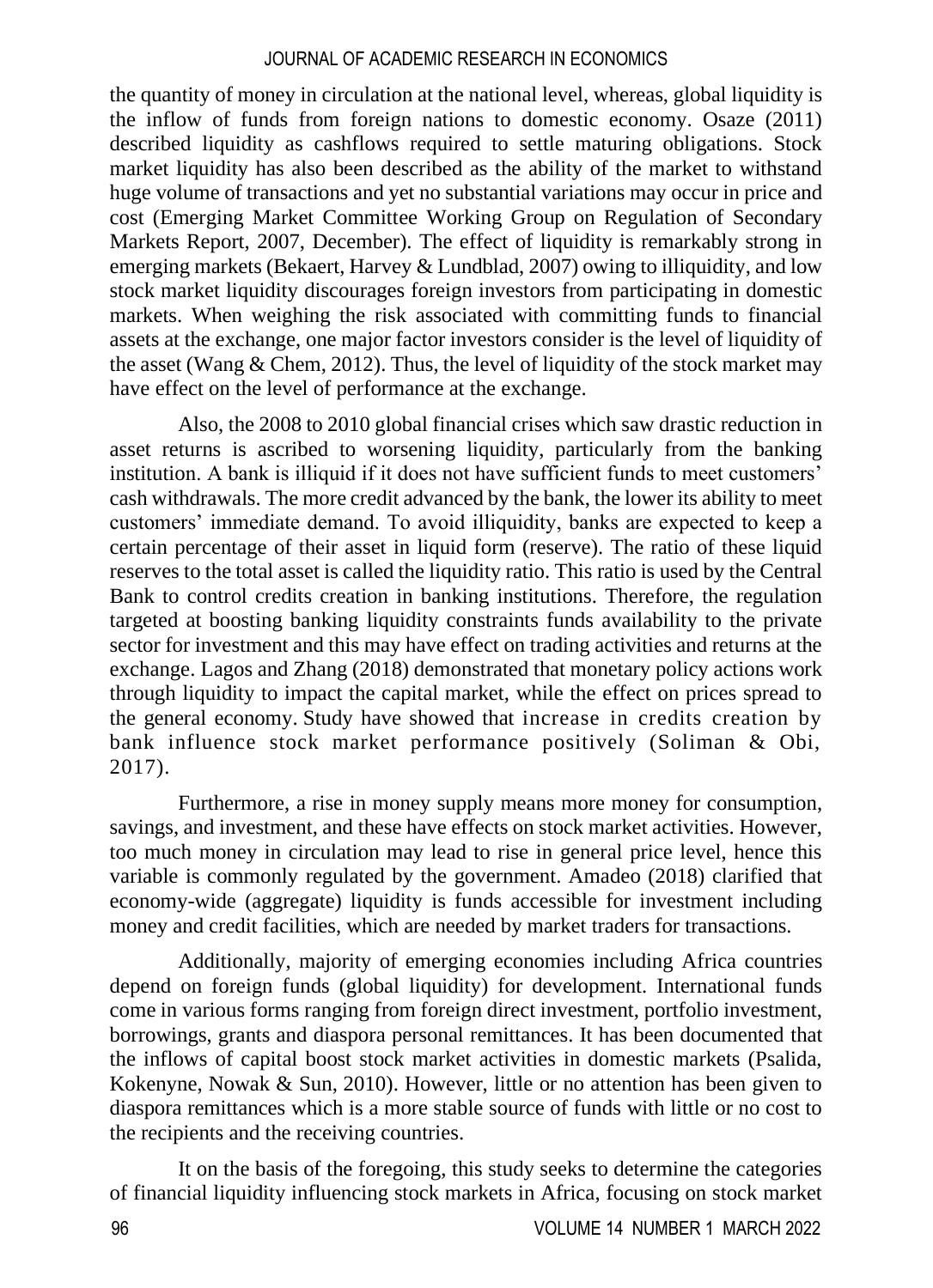the quantity of money in circulation at the national level, whereas, global liquidity is the inflow of funds from foreign nations to domestic economy. Osaze (2011) described liquidity as cashflows required to settle maturing obligations. Stock market liquidity has also been described as the ability of the market to withstand huge volume of transactions and yet no substantial variations may occur in price and cost (Emerging Market Committee Working Group on Regulation of Secondary Markets Report, 2007, December). The effect of liquidity is remarkably strong in emerging markets (Bekaert, Harvey  $& Lundblad, 2007$ ) owing to illiquidity, and low stock market liquidity discourages foreign investors from participating in domestic markets. When weighing the risk associated with committing funds to financial assets at the exchange, one major factor investors consider is the level of liquidity of the asset (Wang  $&$  Chem, 2012). Thus, the level of liquidity of the stock market may have effect on the level of performance at the exchange.

Also, the 2008 to 2010 global financial crises which saw drastic reduction in asset returns is ascribed to worsening liquidity, particularly from the banking institution. A bank is illiquid if it does not have sufficient funds to meet customers' cash withdrawals. The more credit advanced by the bank, the lower its ability to meet customers' immediate demand. To avoid illiquidity, banks are expected to keep a certain percentage of their asset in liquid form (reserve). The ratio of these liquid reserves to the total asset is called the liquidity ratio. This ratio is used by the Central Bank to control credits creation in banking institutions. Therefore, the regulation targeted at boosting banking liquidity constraints funds availability to the private sector for investment and this may have effect on trading activities and returns at the exchange. Lagos and Zhang (2018) demonstrated that monetary policy actions work through liquidity to impact the capital market, while the effect on prices spread to the general economy. Study have showed that increase in credits creation by bank influence stock market performance positively (Soliman & Obi, 2017).

Furthermore, a rise in money supply means more money for consumption, savings, and investment, and these have effects on stock market activities. However, too much money in circulation may lead to rise in general price level, hence this variable is commonly regulated by the government. Amadeo (2018) clarified that economy-wide (aggregate) liquidity is funds accessible for investment including money and credit facilities, which are needed by market traders for transactions.

Additionally, majority of emerging economies including Africa countries depend on foreign funds (global liquidity) for development. International funds come in various forms ranging from foreign direct investment, portfolio investment, borrowings, grants and diaspora personal remittances. It has been documented that the inflows of capital boost stock market activities in domestic markets (Psalida, Kokenyne, Nowak & Sun, 2010). However, little or no attention has been given to diaspora remittances which is a more stable source of funds with little or no cost to the recipients and the receiving countries.

It on the basis of the foregoing, this study seeks to determine the categories of financial liquidity influencing stock markets in Africa, focusing on stock market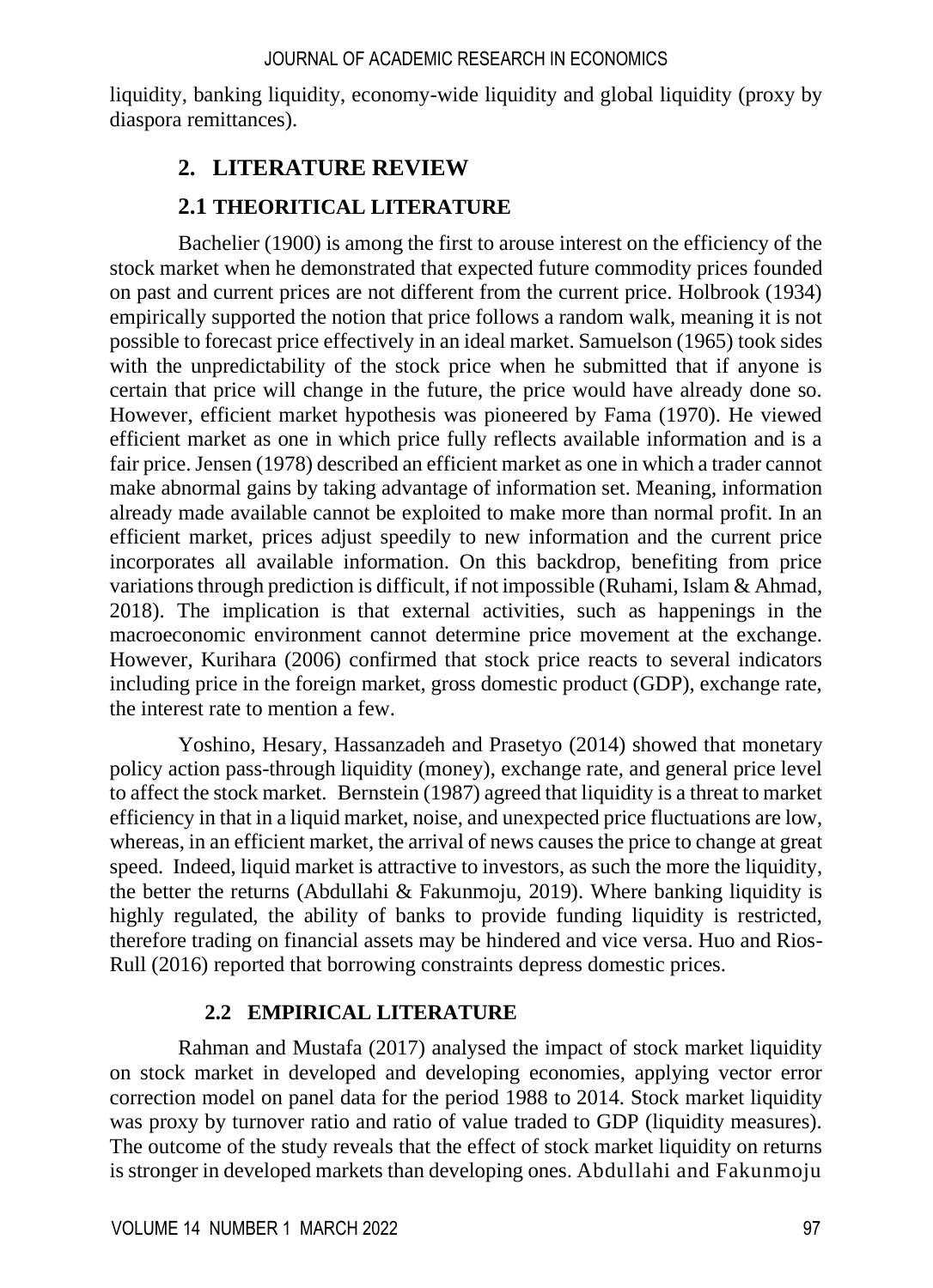liquidity, banking liquidity, economy-wide liquidity and global liquidity (proxy by diaspora remittances).

# **2. LITERATURE REVIEW**

# **2.1 THEORITICAL LITERATURE**

Bachelier (1900) is among the first to arouse interest on the efficiency of the stock market when he demonstrated that expected future commodity prices founded on past and current prices are not different from the current price. Holbrook (1934) empirically supported the notion that price follows a random walk, meaning it is not possible to forecast price effectively in an ideal market. Samuelson (1965) took sides with the unpredictability of the stock price when he submitted that if anyone is certain that price will change in the future, the price would have already done so. However, efficient market hypothesis was pioneered by Fama (1970). He viewed efficient market as one in which price fully reflects available information and is a fair price. Jensen (1978) described an efficient market as one in which a trader cannot make abnormal gains by taking advantage of information set. Meaning, information already made available cannot be exploited to make more than normal profit. In an efficient market, prices adjust speedily to new information and the current price incorporates all available information. On this backdrop, benefiting from price variations through prediction is difficult, if not impossible (Ruhami, Islam & Ahmad, 2018). The implication is that external activities, such as happenings in the macroeconomic environment cannot determine price movement at the exchange. However, Kurihara (2006) confirmed that stock price reacts to several indicators including price in the foreign market, gross domestic product (GDP), exchange rate, the interest rate to mention a few.

Yoshino, Hesary, Hassanzadeh and Prasetyo (2014) showed that monetary policy action pass-through liquidity (money), exchange rate, and general price level to affect the stock market. Bernstein (1987) agreed that liquidity is a threat to market efficiency in that in a liquid market, noise, and unexpected price fluctuations are low, whereas, in an efficient market, the arrival of news causes the price to change at great speed. Indeed, liquid market is attractive to investors, as such the more the liquidity, the better the returns (Abdullahi  $\&$  Fakunmoju, 2019). Where banking liquidity is highly regulated, the ability of banks to provide funding liquidity is restricted, therefore trading on financial assets may be hindered and vice versa. Huo and Rios-Rull (2016) reported that borrowing constraints depress domestic prices.

## **2.2 EMPIRICAL LITERATURE**

Rahman and Mustafa (2017) analysed the impact of stock market liquidity on stock market in developed and developing economies, applying vector error correction model on panel data for the period 1988 to 2014. Stock market liquidity was proxy by turnover ratio and ratio of value traded to GDP (liquidity measures). The outcome of the study reveals that the effect of stock market liquidity on returns is stronger in developed markets than developing ones. Abdullahi and Fakunmoju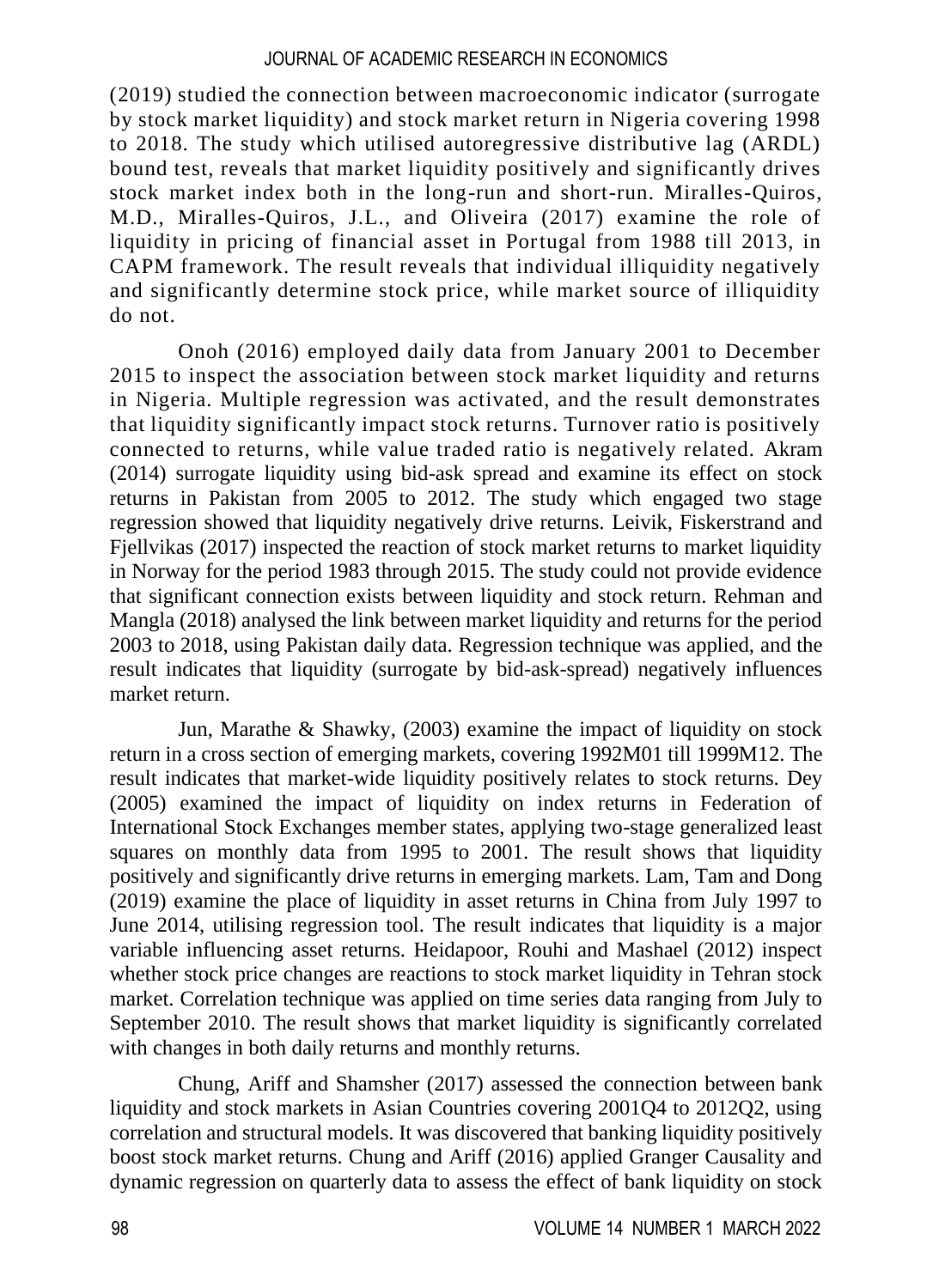(2019) studied the connection between macroeconomic indicator (surrogate by stock market liquidity) and stock market return in Nigeria covering 1998 to 2018. The study which utilised autoregressive distributive lag (ARDL) bound test, reveals that market liquidity positively and significantly drives stock market index both in the long-run and short-run. Miralles-Quiros, M.D., Miralles-Quiros, J.L., and Oliveira (2017) examine the role of liquidity in pricing of financial asset in Portugal from 1988 till 2013, in CAPM framework. The result reveals that individual illiquidity negatively and significantly determine stock price, while market source of illiquidity do not.

Onoh (2016) employed daily data from January 2001 to December 2015 to inspect the association between stock market liquidity and returns in Nigeria. Multiple regression was activated, and the result demonstrates that liquidity significantly impact stock returns. Turnover ratio is positively connected to returns, while value traded ratio is negatively related. Akram (2014) surrogate liquidity using bid-ask spread and examine its effect on stock returns in Pakistan from 2005 to 2012. The study which engaged two stage regression showed that liquidity negatively drive returns. Leivik, Fiskerstrand and Fjellvikas (2017) inspected the reaction of stock market returns to market liquidity in Norway for the period 1983 through 2015. The study could not provide evidence that significant connection exists between liquidity and stock return. Rehman and Mangla (2018) analysed the link between market liquidity and returns for the period 2003 to 2018, using Pakistan daily data. Regression technique was applied, and the result indicates that liquidity (surrogate by bid-ask-spread) negatively influences market return.

Jun, Marathe & Shawky, (2003) examine the impact of liquidity on stock return in a cross section of emerging markets, covering 1992M01 till 1999M12. The result indicates that market-wide liquidity positively relates to stock returns. Dey (2005) examined the impact of liquidity on index returns in Federation of International Stock Exchanges member states, applying two-stage generalized least squares on monthly data from 1995 to 2001. The result shows that liquidity positively and significantly drive returns in emerging markets. Lam, Tam and Dong (2019) examine the place of liquidity in asset returns in China from July 1997 to June 2014, utilising regression tool. The result indicates that liquidity is a major variable influencing asset returns. Heidapoor, Rouhi and Mashael (2012) inspect whether stock price changes are reactions to stock market liquidity in Tehran stock market. Correlation technique was applied on time series data ranging from July to September 2010. The result shows that market liquidity is significantly correlated with changes in both daily returns and monthly returns.

Chung, Ariff and Shamsher (2017) assessed the connection between bank liquidity and stock markets in Asian Countries covering 2001Q4 to 2012Q2, using correlation and structural models. It was discovered that banking liquidity positively boost stock market returns. Chung and Ariff (2016) applied Granger Causality and dynamic regression on quarterly data to assess the effect of bank liquidity on stock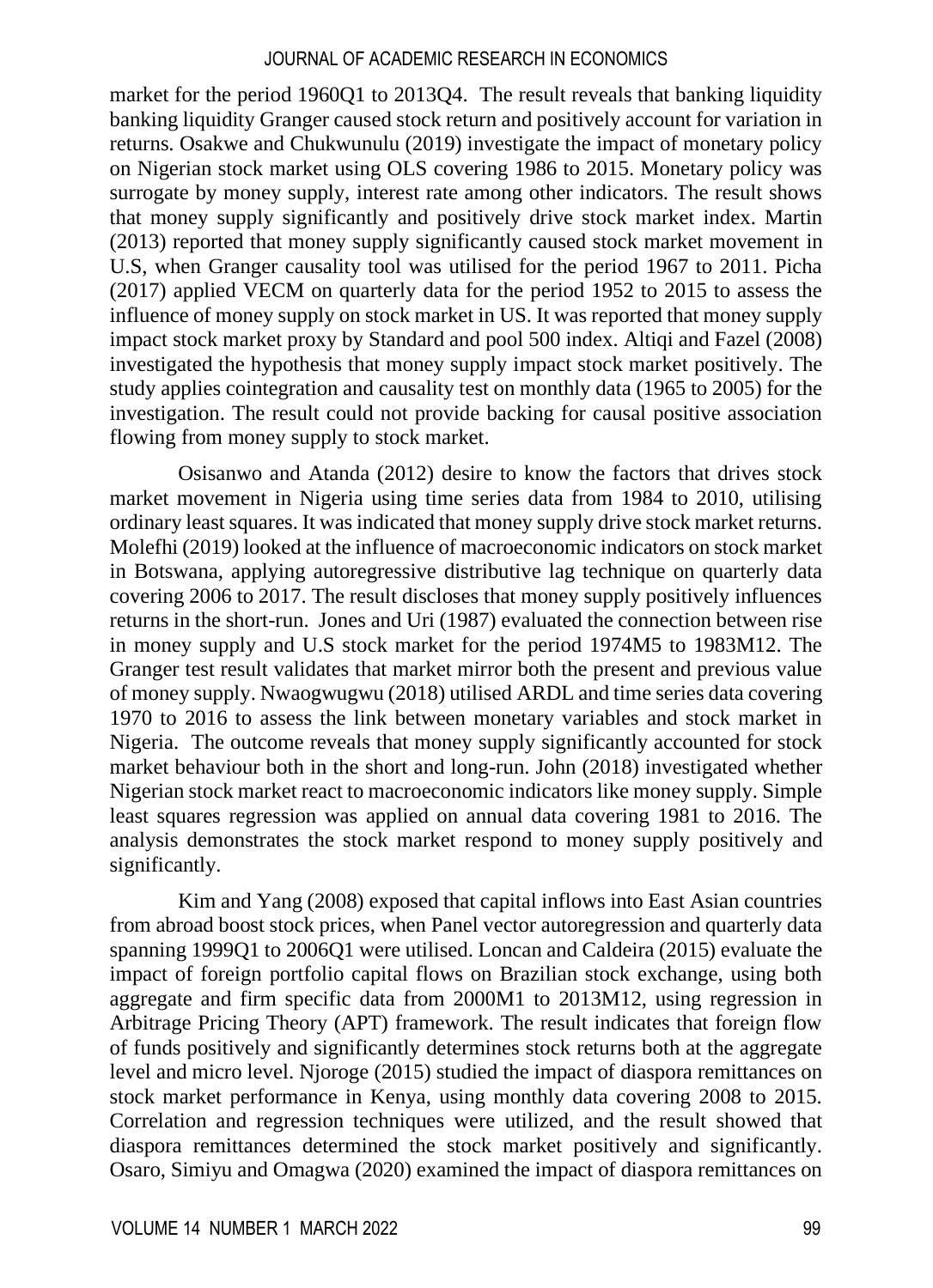market for the period 1960Q1 to 2013Q4. The result reveals that banking liquidity banking liquidity Granger caused stock return and positively account for variation in returns. Osakwe and Chukwunulu (2019) investigate the impact of monetary policy on Nigerian stock market using OLS covering 1986 to 2015. Monetary policy was surrogate by money supply, interest rate among other indicators. The result shows that money supply significantly and positively drive stock market index. Martin (2013) reported that money supply significantly caused stock market movement in U.S, when Granger causality tool was utilised for the period 1967 to 2011. Picha (2017) applied VECM on quarterly data for the period 1952 to 2015 to assess the influence of money supply on stock market in US. It was reported that money supply impact stock market proxy by Standard and pool 500 index. Altiqi and Fazel (2008) investigated the hypothesis that money supply impact stock market positively. The study applies cointegration and causality test on monthly data (1965 to 2005) for the investigation. The result could not provide backing for causal positive association flowing from money supply to stock market.

Osisanwo and Atanda (2012) desire to know the factors that drives stock market movement in Nigeria using time series data from 1984 to 2010, utilising ordinary least squares. It was indicated that money supply drive stock market returns. Molefhi (2019) looked at the influence of macroeconomic indicators on stock market in Botswana, applying autoregressive distributive lag technique on quarterly data covering 2006 to 2017. The result discloses that money supply positively influences returns in the short-run. Jones and Uri (1987) evaluated the connection between rise in money supply and U.S stock market for the period 1974M5 to 1983M12. The Granger test result validates that market mirror both the present and previous value of money supply. Nwaogwugwu (2018) utilised ARDL and time series data covering 1970 to 2016 to assess the link between monetary variables and stock market in Nigeria. The outcome reveals that money supply significantly accounted for stock market behaviour both in the short and long-run. John (2018) investigated whether Nigerian stock market react to macroeconomic indicators like money supply. Simple least squares regression was applied on annual data covering 1981 to 2016. The analysis demonstrates the stock market respond to money supply positively and significantly.

Kim and Yang (2008) exposed that capital inflows into East Asian countries from abroad boost stock prices, when Panel vector autoregression and quarterly data spanning 1999Q1 to 2006Q1 were utilised. Loncan and Caldeira (2015) evaluate the impact of foreign portfolio capital flows on Brazilian stock exchange, using both aggregate and firm specific data from 2000M1 to 2013M12, using regression in Arbitrage Pricing Theory (APT) framework. The result indicates that foreign flow of funds positively and significantly determines stock returns both at the aggregate level and micro level. Njoroge (2015) studied the impact of diaspora remittances on stock market performance in Kenya, using monthly data covering 2008 to 2015. Correlation and regression techniques were utilized, and the result showed that diaspora remittances determined the stock market positively and significantly. Osaro, Simiyu and Omagwa (2020) examined the impact of diaspora remittances on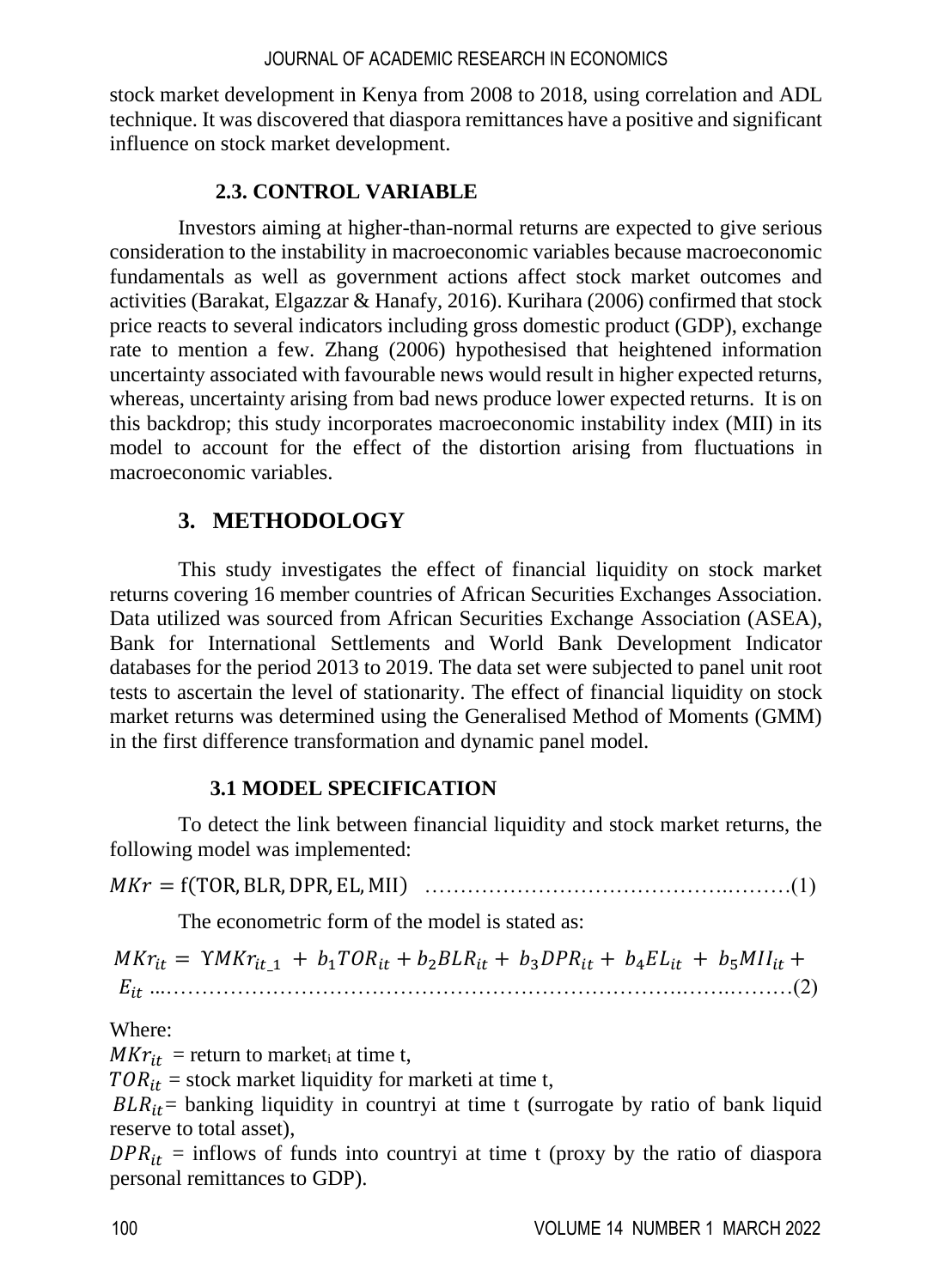stock market development in Kenya from 2008 to 2018, using correlation and ADL technique. It was discovered that diaspora remittances have a positive and significant influence on stock market development.

## **2.3. CONTROL VARIABLE**

Investors aiming at higher-than-normal returns are expected to give serious consideration to the instability in macroeconomic variables because macroeconomic fundamentals as well as government actions affect stock market outcomes and activities (Barakat, Elgazzar & Hanafy, 2016). Kurihara (2006) confirmed that stock price reacts to several indicators including gross domestic product (GDP), exchange rate to mention a few. Zhang (2006) hypothesised that heightened information uncertainty associated with favourable news would result in higher expected returns, whereas, uncertainty arising from bad news produce lower expected returns. It is on this backdrop; this study incorporates macroeconomic instability index (MII) in its model to account for the effect of the distortion arising from fluctuations in macroeconomic variables.

## **3. METHODOLOGY**

This study investigates the effect of financial liquidity on stock market returns covering 16 member countries of African Securities Exchanges Association. Data utilized was sourced from African Securities Exchange Association (ASEA), Bank for International Settlements and World Bank Development Indicator databases for the period 2013 to 2019. The data set were subjected to panel unit root tests to ascertain the level of stationarity. The effect of financial liquidity on stock market returns was determined using the Generalised Method of Moments (GMM) in the first difference transformation and dynamic panel model.

## **3.1 MODEL SPECIFICATION**

To detect the link between financial liquidity and stock market returns, the following model was implemented:

= f(TOR, BLR,DPR, EL, MII) …………………………………….………(1)

The econometric form of the model is stated as:

 $MKr_{it} = \gamma M Kr_{it,1} + b_1 TOR_{it} + b_2 BLR_{it} + b_3 DPR_{it} + b_4 EL_{it} + b_5 MII_{it} +$ ...……………………………………………………………….…….………(2)

Where:

 $M Kr_{it}$  = return to market<sub>i</sub> at time t,

 $TOR_{it}$  = stock market liquidity for marketi at time t,

 $BLR_{it}$  banking liquidity in countryi at time t (surrogate by ratio of bank liquid reserve to total asset),

 $DPR_{it}$  = inflows of funds into countryi at time t (proxy by the ratio of diaspora personal remittances to GDP).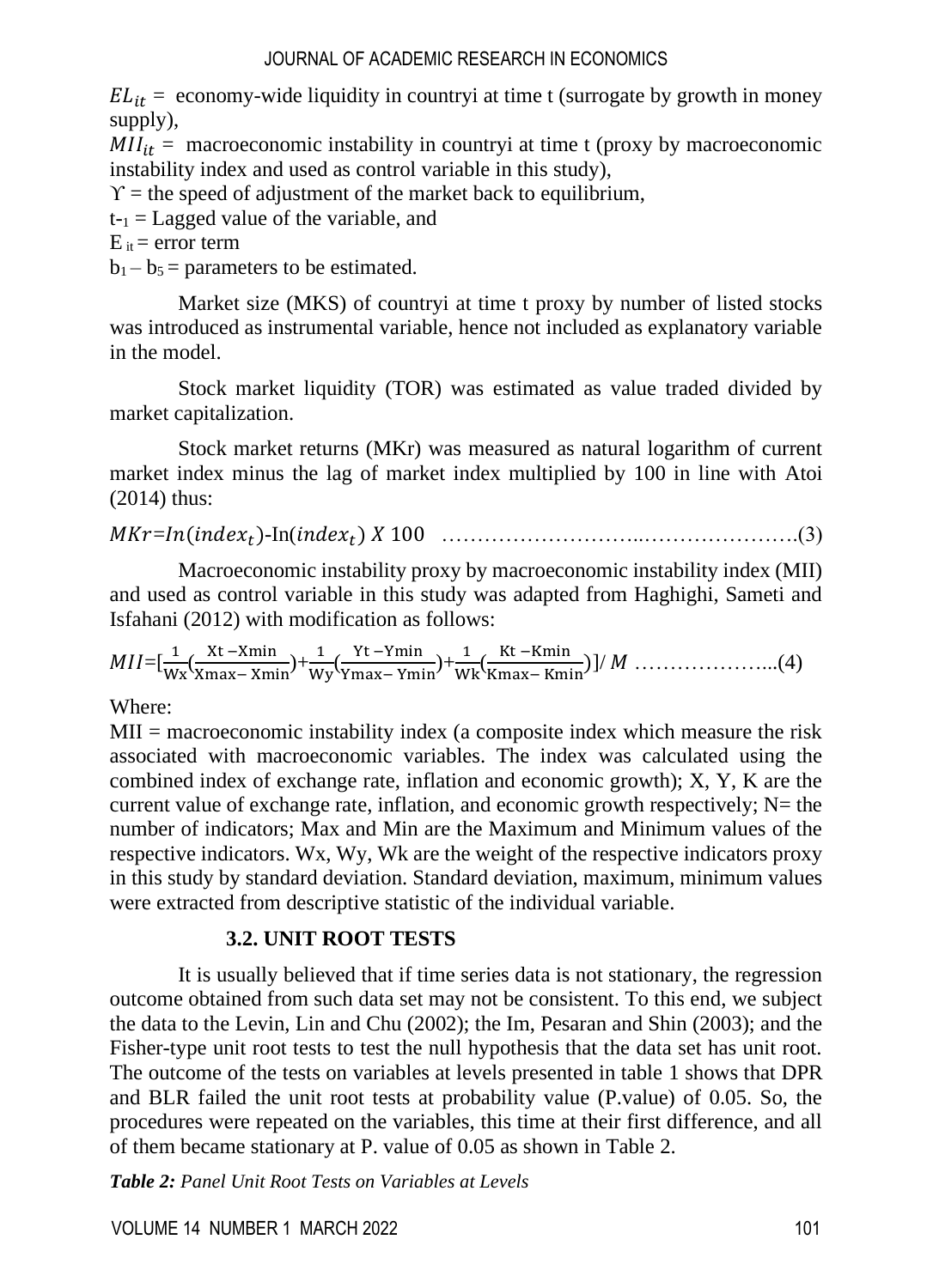$EL_{it}$  = economy-wide liquidity in countryi at time t (surrogate by growth in money supply),

 $MII_{it}$  = macroeconomic instability in countryi at time t (proxy by macroeconomic instability index and used as control variable in this study),

 $\Upsilon$  = the speed of adjustment of the market back to equilibrium,

 $t_{-1}$  = Lagged value of the variable, and

 $E_{it}$  = error term

 $b_1 - b_5 =$  parameters to be estimated.

Market size (MKS) of countryi at time t proxy by number of listed stocks was introduced as instrumental variable, hence not included as explanatory variable in the model.

Stock market liquidity (TOR) was estimated as value traded divided by market capitalization.

Stock market returns (MKr) was measured as natural logarithm of current market index minus the lag of market index multiplied by 100 in line with Atoi (2014) thus:

=()-In() 100 ………………………..………………….(3)

Macroeconomic instability proxy by macroeconomic instability index (MII) and used as control variable in this study was adapted from Haghighi, Sameti and Isfahani (2012) with modification as follows:

=[ <sup>1</sup> Wx ( Xt −Xmin Xmax− Xmin)+ <sup>1</sup> Wy ( Yt −Ymin Ymax− Ymin)+ <sup>1</sup> Wk( Kt −Kmin Kmax− Kmin)]/ ………………...(4)

Where:

 $MII$  = macroeconomic instability index (a composite index which measure the risk associated with macroeconomic variables. The index was calculated using the combined index of exchange rate, inflation and economic growth); X, Y, K are the current value of exchange rate, inflation, and economic growth respectively;  $N=$  the number of indicators; Max and Min are the Maximum and Minimum values of the respective indicators. Wx, Wy, Wk are the weight of the respective indicators proxy in this study by standard deviation. Standard deviation, maximum, minimum values were extracted from descriptive statistic of the individual variable.

## **3.2. UNIT ROOT TESTS**

It is usually believed that if time series data is not stationary, the regression outcome obtained from such data set may not be consistent. To this end, we subject the data to the Levin, Lin and Chu (2002); the Im, Pesaran and Shin (2003); and the Fisher-type unit root tests to test the null hypothesis that the data set has unit root. The outcome of the tests on variables at levels presented in table 1 shows that DPR and BLR failed the unit root tests at probability value (P.value) of 0.05. So, the procedures were repeated on the variables, this time at their first difference, and all of them became stationary at P. value of 0.05 as shown in Table 2.

*Table 2: Panel Unit Root Tests on Variables at Levels*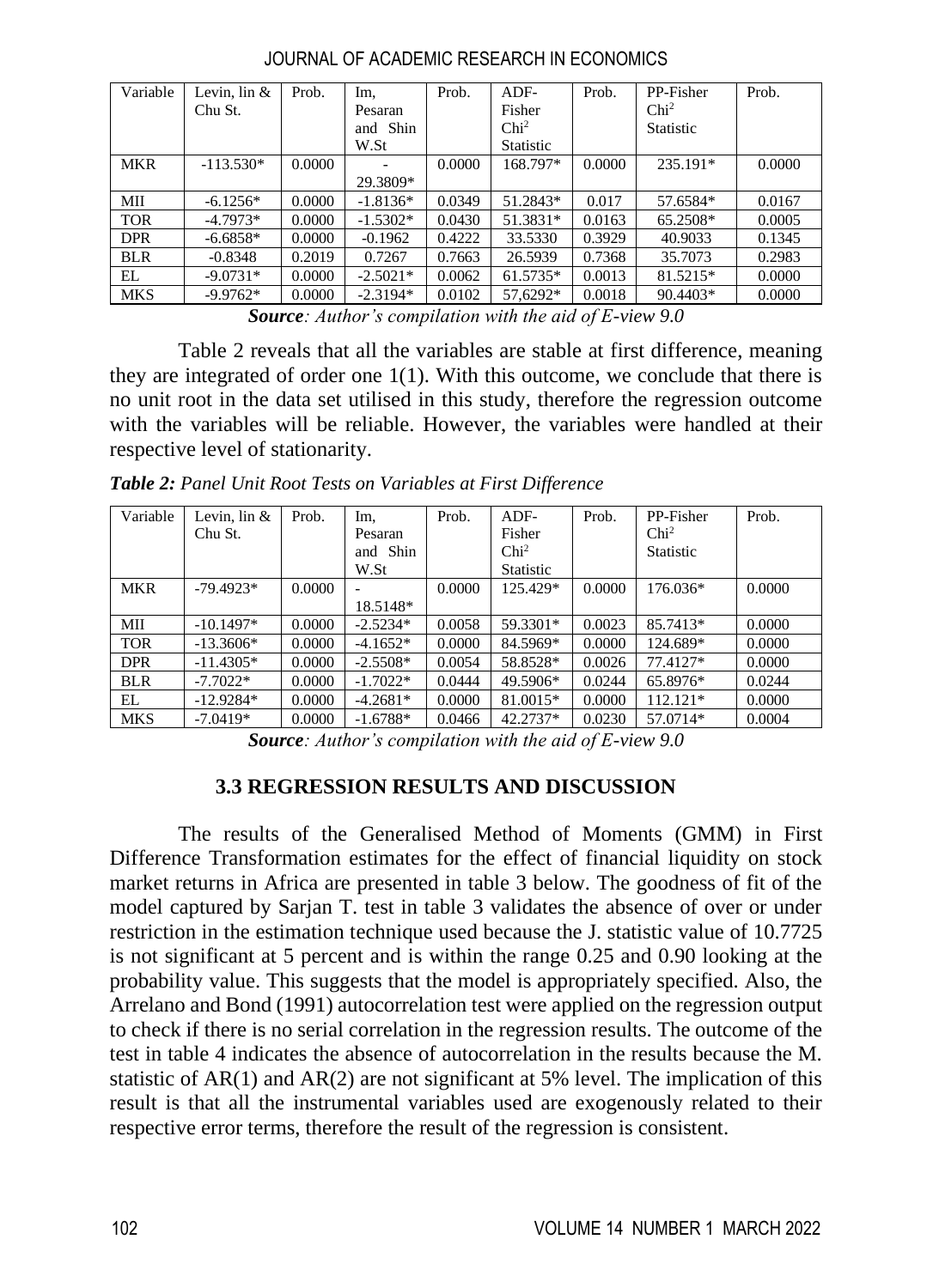| Variable   | Levin, $\ln \&$ | Prob.  | Im.        | Prob.  | $ADF-$           | Prob.  | PP-Fisher        | Prob.  |
|------------|-----------------|--------|------------|--------|------------------|--------|------------------|--------|
|            | Chu St.         |        | Pesaran    |        | Fisher           |        | Chi <sup>2</sup> |        |
|            |                 |        | and Shin   |        | Chi <sup>2</sup> |        | <b>Statistic</b> |        |
|            |                 |        | W.St       |        | Statistic        |        |                  |        |
| <b>MKR</b> | $-113.530*$     | 0.0000 | ۰          | 0.0000 | 168.797*         | 0.0000 | 235.191*         | 0.0000 |
|            |                 |        | 29.3809*   |        |                  |        |                  |        |
| MII        | $-6.1256*$      | 0.0000 | $-1.8136*$ | 0.0349 | 51.2843*         | 0.017  | 57.6584*         | 0.0167 |
| <b>TOR</b> | $-4.7973*$      | 0.0000 | $-1.5302*$ | 0.0430 | 51.3831*         | 0.0163 | 65.2508*         | 0.0005 |
| <b>DPR</b> | $-6.6858*$      | 0.0000 | $-0.1962$  | 0.4222 | 33.5330          | 0.3929 | 40.9033          | 0.1345 |
| <b>BLR</b> | $-0.8348$       | 0.2019 | 0.7267     | 0.7663 | 26.5939          | 0.7368 | 35.7073          | 0.2983 |
| EL         | $-9.0731*$      | 0.0000 | $-2.5021*$ | 0.0062 | 61.5735*         | 0.0013 | 81.5215*         | 0.0000 |
| <b>MKS</b> | $-9.9762*$      | 0.0000 | $-2.3194*$ | 0.0102 | 57,6292*         | 0.0018 | 90.4403*         | 0.0000 |

JOURNAL OF ACADEMIC RESEARCH IN ECONOMICS

*Source: Author's compilation with the aid of E-view 9.0*

Table 2 reveals that all the variables are stable at first difference, meaning they are integrated of order one 1(1). With this outcome, we conclude that there is no unit root in the data set utilised in this study, therefore the regression outcome with the variables will be reliable. However, the variables were handled at their respective level of stationarity.

*Table 2: Panel Unit Root Tests on Variables at First Difference*

| Variable   | Levin, $\ln \&$ | Prob.  | Im,        | Prob.  | $ADF-$           | Prob.  | PP-Fisher        | Prob.  |
|------------|-----------------|--------|------------|--------|------------------|--------|------------------|--------|
|            | Chu St.         |        | Pesaran    |        | Fisher           |        | Chi <sup>2</sup> |        |
|            |                 |        | and Shin   |        | Chi <sup>2</sup> |        | <b>Statistic</b> |        |
|            |                 |        | W.St       |        | <b>Statistic</b> |        |                  |        |
| <b>MKR</b> | $-79.4923*$     | 0.0000 |            | 0.0000 | 125.429*         | 0.0000 | 176.036*         | 0.0000 |
|            |                 |        | 18.5148*   |        |                  |        |                  |        |
| МII        | $-10.1497*$     | 0.0000 | $-2.5234*$ | 0.0058 | 59.3301*         | 0.0023 | 85.7413*         | 0.0000 |
| <b>TOR</b> | $-13.3606*$     | 0.0000 | $-4.1652*$ | 0.0000 | 84.5969*         | 0.0000 | 124.689*         | 0.0000 |
| <b>DPR</b> | $-11.4305*$     | 0.0000 | $-2.5508*$ | 0.0054 | 58.8528*         | 0.0026 | 77.4127*         | 0.0000 |
| <b>BLR</b> | $-7.7022*$      | 0.0000 | $-1.7022*$ | 0.0444 | 49.5906*         | 0.0244 | 65.8976*         | 0.0244 |
| EL         | $-12.9284*$     | 0.0000 | $-4.2681*$ | 0.0000 | 81.0015*         | 0.0000 | $112.121*$       | 0.0000 |
| <b>MKS</b> | $-7.0419*$      | 0.0000 | $-1.6788*$ | 0.0466 | 42.2737*         | 0.0230 | 57.0714*         | 0.0004 |

*Source: Author's compilation with the aid of E-view 9.0*

## **3.3 REGRESSION RESULTS AND DISCUSSION**

The results of the Generalised Method of Moments (GMM) in First Difference Transformation estimates for the effect of financial liquidity on stock market returns in Africa are presented in table 3 below. The goodness of fit of the model captured by Sarjan T. test in table 3 validates the absence of over or under restriction in the estimation technique used because the J. statistic value of 10.7725 is not significant at 5 percent and is within the range 0.25 and 0.90 looking at the probability value. This suggests that the model is appropriately specified. Also, the Arrelano and Bond (1991) autocorrelation test were applied on the regression output to check if there is no serial correlation in the regression results. The outcome of the test in table 4 indicates the absence of autocorrelation in the results because the M. statistic of  $AR(1)$  and  $AR(2)$  are not significant at 5% level. The implication of this result is that all the instrumental variables used are exogenously related to their respective error terms, therefore the result of the regression is consistent.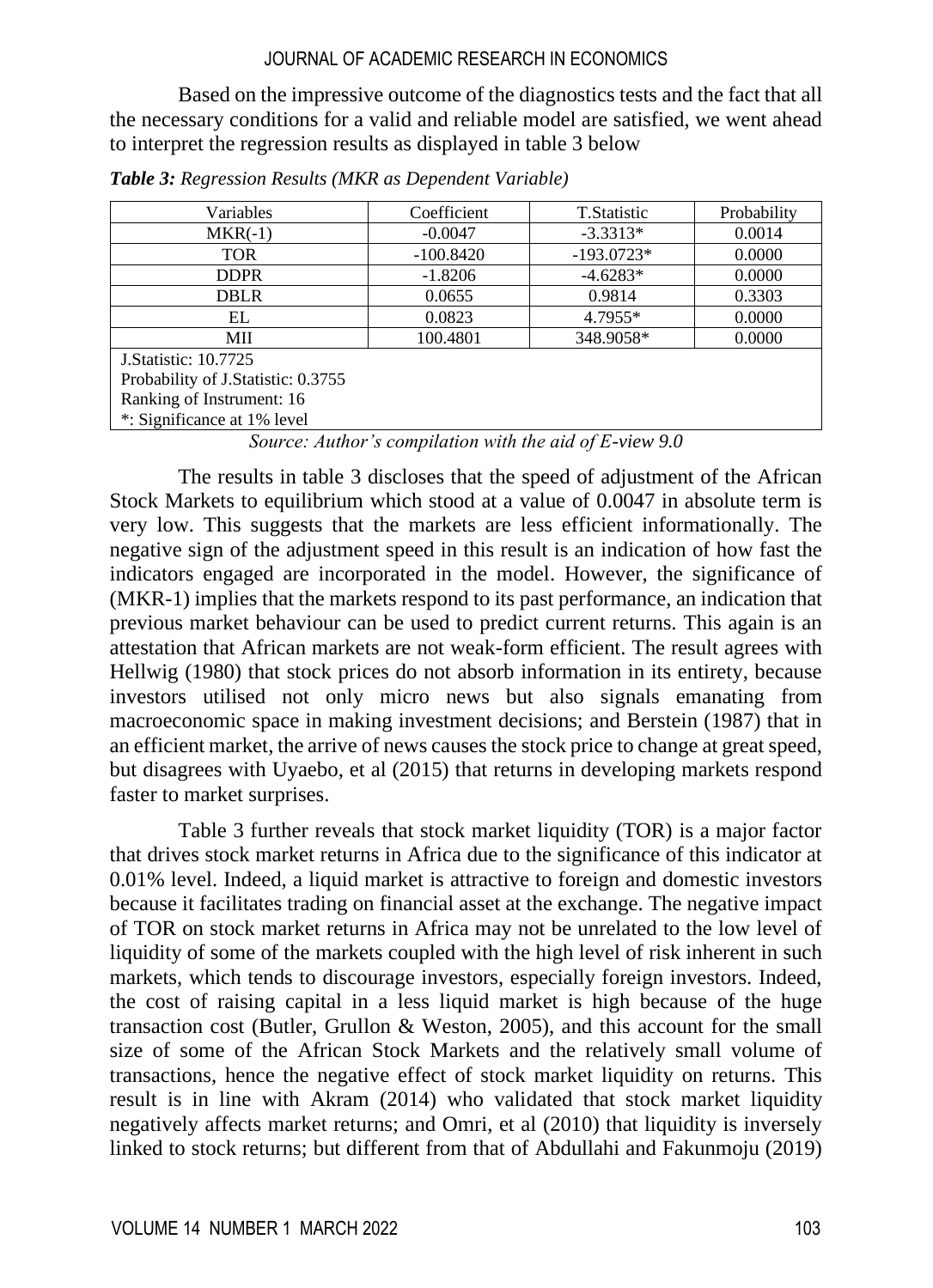Based on the impressive outcome of the diagnostics tests and the fact that all the necessary conditions for a valid and reliable model are satisfied, we went ahead to interpret the regression results as displayed in table 3 below

| Variables                          | Coefficient | T.Statistic  | Probability |  |  |  |
|------------------------------------|-------------|--------------|-------------|--|--|--|
| $MKR(-1)$                          | $-0.0047$   | $-3.3313*$   | 0.0014      |  |  |  |
| <b>TOR</b>                         | $-100.8420$ | $-193.0723*$ | 0.0000      |  |  |  |
| <b>DDPR</b>                        | $-1.8206$   | $-4.6283*$   | 0.0000      |  |  |  |
| <b>DBLR</b>                        | 0.0655      | 0.9814       | 0.3303      |  |  |  |
| EL                                 | 0.0823      | 4.7955*      | 0.0000      |  |  |  |
| МII                                | 100.4801    | 348.9058*    | 0.0000      |  |  |  |
| <b>J.Statistic: 10.7725</b>        |             |              |             |  |  |  |
| Probability of J.Statistic: 0.3755 |             |              |             |  |  |  |
| Ranking of Instrument: 16          |             |              |             |  |  |  |
| *: Significance at 1% level        |             |              |             |  |  |  |

*Table 3: Regression Results (MKR as Dependent Variable)*

*Source: Author's compilation with the aid of E-view 9.0*

The results in table 3 discloses that the speed of adjustment of the African Stock Markets to equilibrium which stood at a value of 0.0047 in absolute term is very low. This suggests that the markets are less efficient informationally. The negative sign of the adjustment speed in this result is an indication of how fast the indicators engaged are incorporated in the model. However, the significance of (MKR-1) implies that the markets respond to its past performance, an indication that previous market behaviour can be used to predict current returns. This again is an attestation that African markets are not weak-form efficient. The result agrees with Hellwig (1980) that stock prices do not absorb information in its entirety, because investors utilised not only micro news but also signals emanating from macroeconomic space in making investment decisions; and Berstein (1987) that in an efficient market, the arrive of news causes the stock price to change at great speed, but disagrees with Uyaebo, et al (2015) that returns in developing markets respond faster to market surprises.

Table 3 further reveals that stock market liquidity (TOR) is a major factor that drives stock market returns in Africa due to the significance of this indicator at 0.01% level. Indeed, a liquid market is attractive to foreign and domestic investors because it facilitates trading on financial asset at the exchange. The negative impact of TOR on stock market returns in Africa may not be unrelated to the low level of liquidity of some of the markets coupled with the high level of risk inherent in such markets, which tends to discourage investors, especially foreign investors. Indeed, the cost of raising capital in a less liquid market is high because of the huge transaction cost (Butler, Grullon & Weston, 2005), and this account for the small size of some of the African Stock Markets and the relatively small volume of transactions, hence the negative effect of stock market liquidity on returns. This result is in line with Akram (2014) who validated that stock market liquidity negatively affects market returns; and Omri, et al (2010) that liquidity is inversely linked to stock returns; but different from that of Abdullahi and Fakunmoju (2019)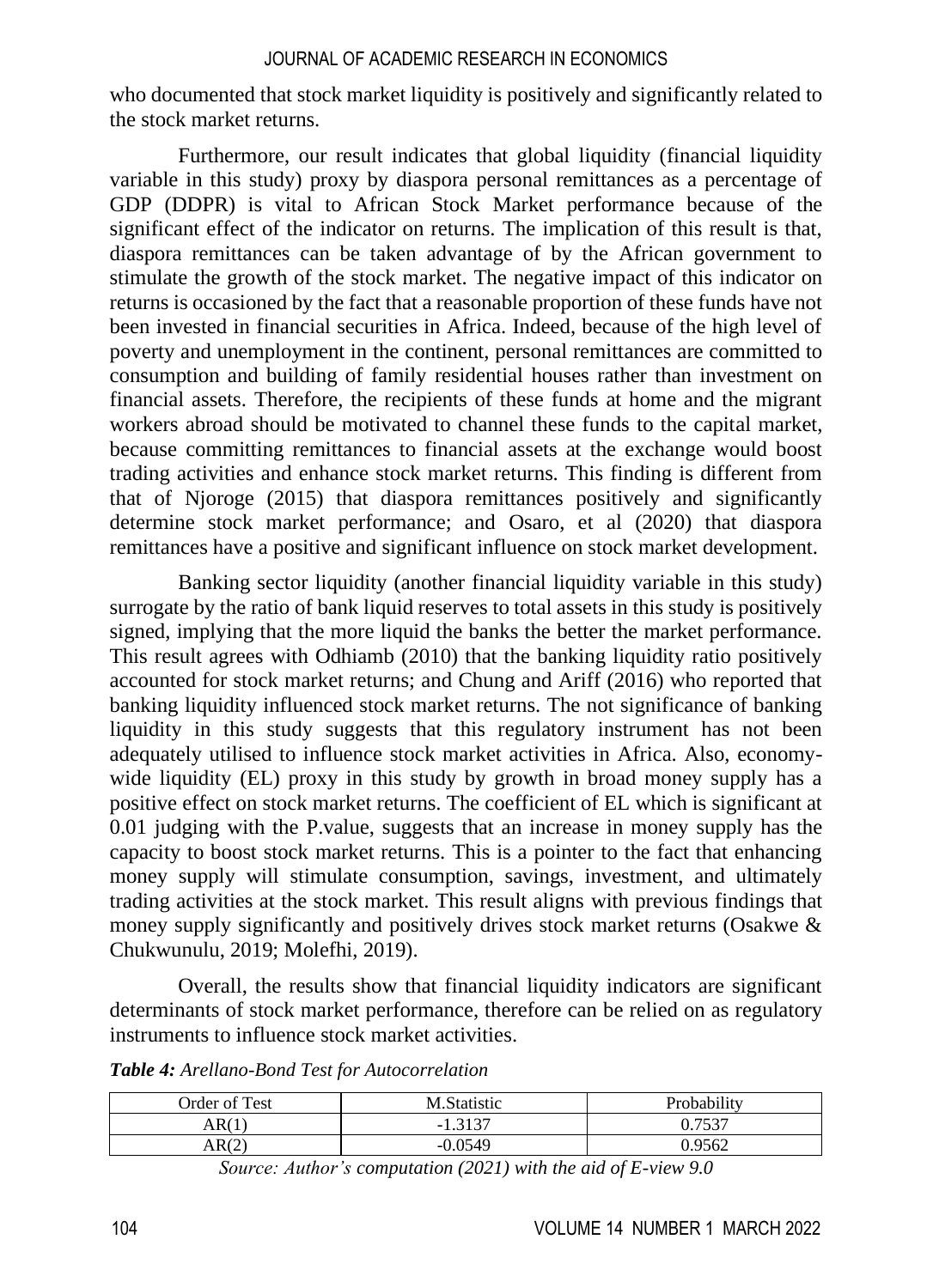who documented that stock market liquidity is positively and significantly related to the stock market returns.

Furthermore, our result indicates that global liquidity (financial liquidity variable in this study) proxy by diaspora personal remittances as a percentage of GDP (DDPR) is vital to African Stock Market performance because of the significant effect of the indicator on returns. The implication of this result is that, diaspora remittances can be taken advantage of by the African government to stimulate the growth of the stock market. The negative impact of this indicator on returns is occasioned by the fact that a reasonable proportion of these funds have not been invested in financial securities in Africa. Indeed, because of the high level of poverty and unemployment in the continent, personal remittances are committed to consumption and building of family residential houses rather than investment on financial assets. Therefore, the recipients of these funds at home and the migrant workers abroad should be motivated to channel these funds to the capital market, because committing remittances to financial assets at the exchange would boost trading activities and enhance stock market returns. This finding is different from that of Njoroge (2015) that diaspora remittances positively and significantly determine stock market performance; and Osaro, et al (2020) that diaspora remittances have a positive and significant influence on stock market development.

Banking sector liquidity (another financial liquidity variable in this study) surrogate by the ratio of bank liquid reserves to total assets in this study is positively signed, implying that the more liquid the banks the better the market performance. This result agrees with Odhiamb (2010) that the banking liquidity ratio positively accounted for stock market returns; and Chung and Ariff (2016) who reported that banking liquidity influenced stock market returns. The not significance of banking liquidity in this study suggests that this regulatory instrument has not been adequately utilised to influence stock market activities in Africa. Also, economywide liquidity (EL) proxy in this study by growth in broad money supply has a positive effect on stock market returns. The coefficient of EL which is significant at 0.01 judging with the P.value, suggests that an increase in money supply has the capacity to boost stock market returns. This is a pointer to the fact that enhancing money supply will stimulate consumption, savings, investment, and ultimately trading activities at the stock market. This result aligns with previous findings that money supply significantly and positively drives stock market returns (Osakwe & Chukwunulu, 2019; Molefhi, 2019).

Overall, the results show that financial liquidity indicators are significant determinants of stock market performance, therefore can be relied on as regulatory instruments to influence stock market activities.

| Order of Test | M.Statistic  | Probability |
|---------------|--------------|-------------|
| AR(1          | 2127<br>$-1$ | 7527        |
| AR(2)         | -0.0549      | 0.9562      |

*Table 4: Arellano-Bond Test for Autocorrelation*

*Source: Author's computation (2021) with the aid of E-view 9.0*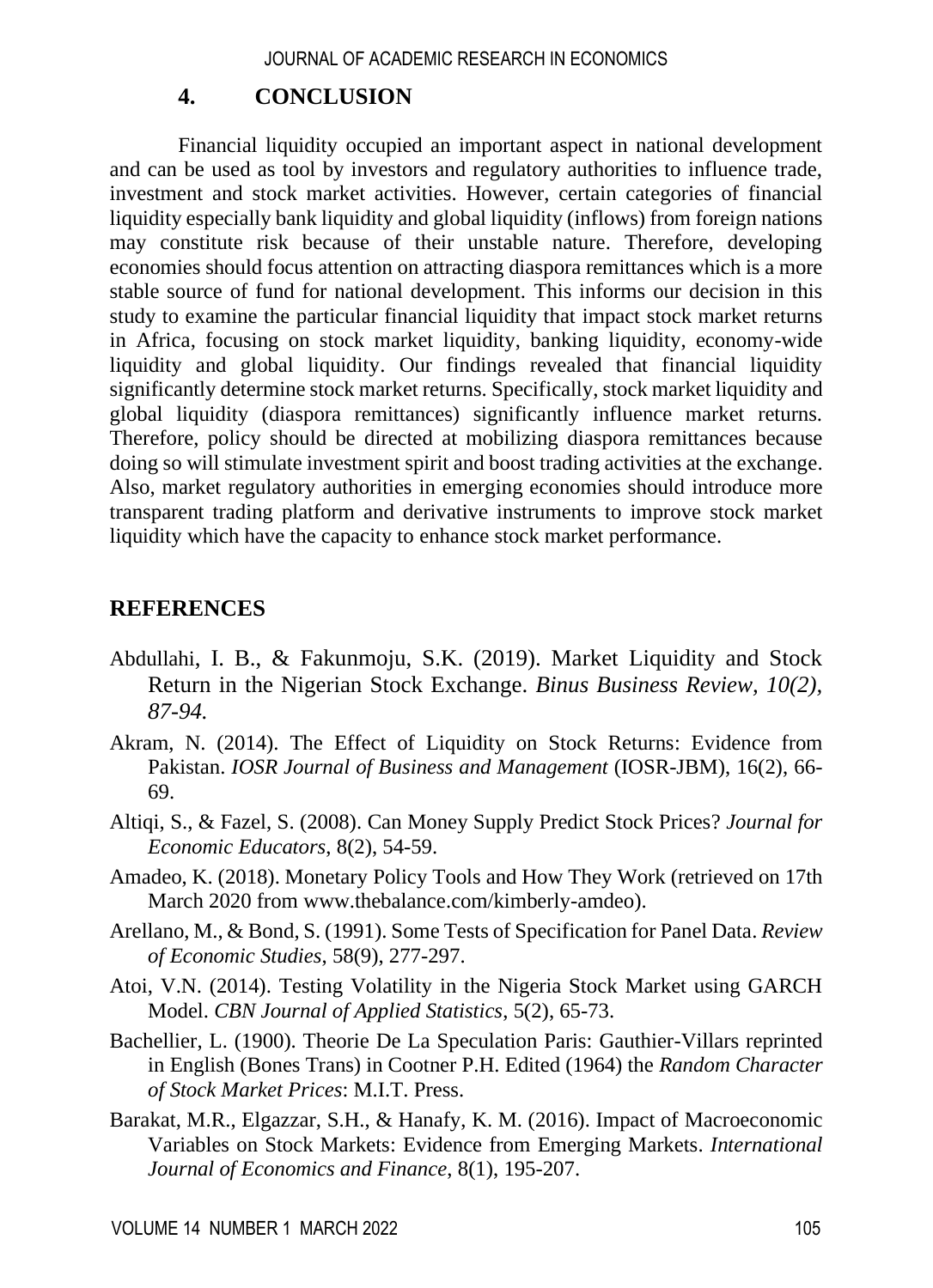## **4. CONCLUSION**

Financial liquidity occupied an important aspect in national development and can be used as tool by investors and regulatory authorities to influence trade, investment and stock market activities. However, certain categories of financial liquidity especially bank liquidity and global liquidity (inflows) from foreign nations may constitute risk because of their unstable nature. Therefore, developing economies should focus attention on attracting diaspora remittances which is a more stable source of fund for national development. This informs our decision in this study to examine the particular financial liquidity that impact stock market returns in Africa, focusing on stock market liquidity, banking liquidity, economy-wide liquidity and global liquidity. Our findings revealed that financial liquidity significantly determine stock market returns. Specifically, stock market liquidity and global liquidity (diaspora remittances) significantly influence market returns. Therefore, policy should be directed at mobilizing diaspora remittances because doing so will stimulate investment spirit and boost trading activities at the exchange. Also, market regulatory authorities in emerging economies should introduce more transparent trading platform and derivative instruments to improve stock market liquidity which have the capacity to enhance stock market performance.

## **REFERENCES**

- Abdullahi, I. B., & Fakunmoju, S.K. (2019). Market Liquidity and Stock Return in the Nigerian Stock Exchange. *Binus Business Review, 10(2), 87-94.*
- Akram, N. (2014). The Effect of Liquidity on Stock Returns: Evidence from Pakistan. *IOSR Journal of Business and Management* (IOSR-JBM), 16(2), 66- 69.
- Altiqi, S., & Fazel, S. (2008). Can Money Supply Predict Stock Prices? *Journal for Economic Educators*, 8(2), 54-59.
- Amadeo, K. (2018). Monetary Policy Tools and How They Work (retrieved on 17th March 2020 from [www.thebalance.com/kimberly-amdeo\)](http://www.thebalance.com/kimberly-amdeo).
- Arellano, M., & Bond, S. (1991). Some Tests of Specification for Panel Data. *Review of Economic Studies*, 58(9), 277-297.
- Atoi, V.N. (2014). Testing Volatility in the Nigeria Stock Market using GARCH Model. *CBN Journal of Applied Statistics*, 5(2), 65-73.
- Bachellier, L. (1900). Theorie De La Speculation Paris: Gauthier-Villars reprinted in English (Bones Trans) in Cootner P.H. Edited (1964) the *Random Character of Stock Market Prices*: M.I.T. Press.
- Barakat, M.R., Elgazzar, S.H., & Hanafy, K. M. (2016). Impact of Macroeconomic Variables on Stock Markets: Evidence from Emerging Markets. *International Journal of Economics and Finance*, 8(1), 195-207.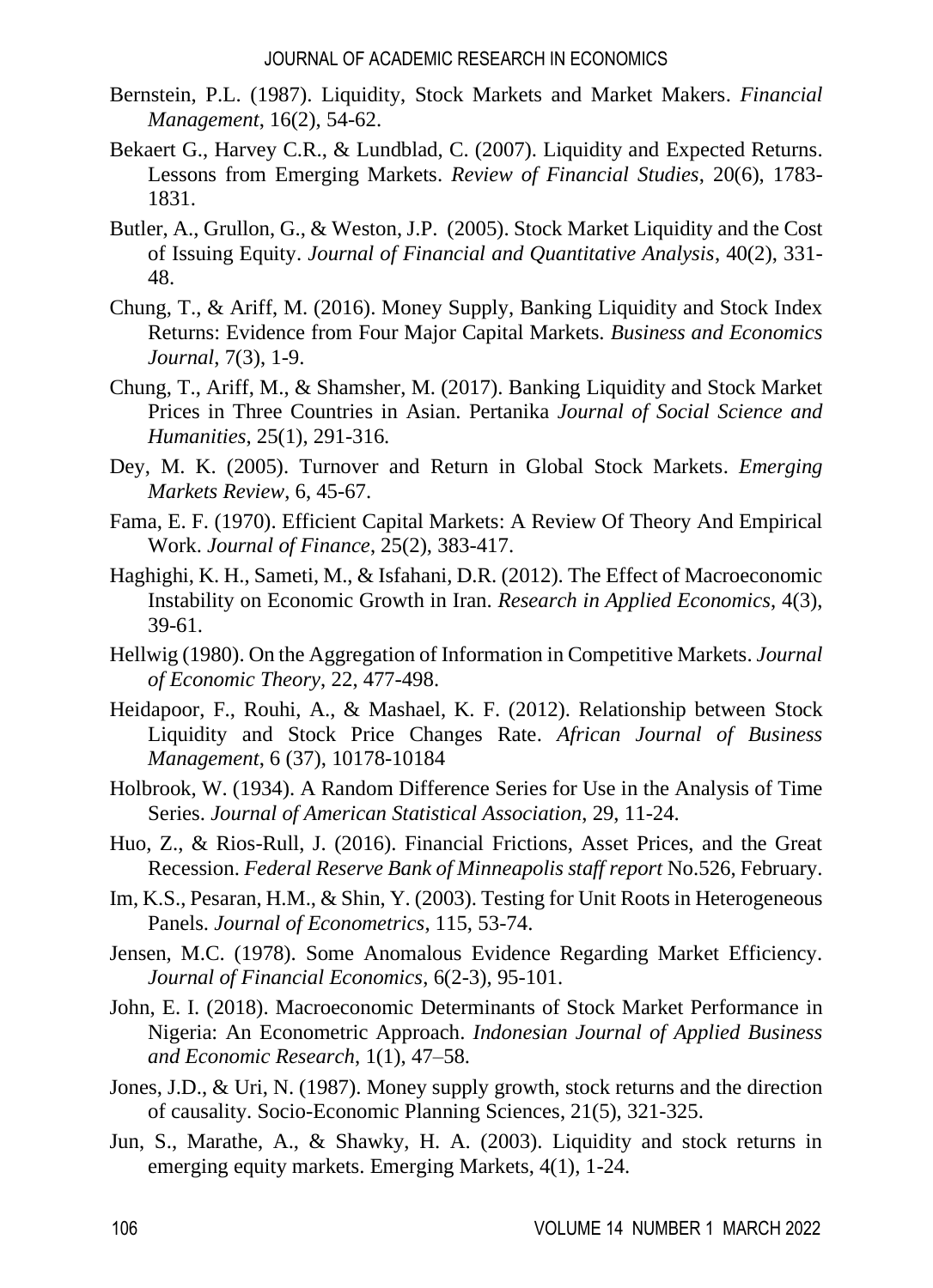- Bernstein, P.L. (1987). Liquidity, Stock Markets and Market Makers. *Financial Management*, 16(2), 54-62.
- Bekaert G., Harvey C.R., & Lundblad, C. (2007). Liquidity and Expected Returns. Lessons from Emerging Markets. *Review of Financial Studies*, 20(6), 1783- 1831.
- Butler, A., Grullon, G., & Weston, J.P. (2005). Stock Market Liquidity and the Cost of Issuing Equity. *Journal of Financial and Quantitative Analysis*, 40(2), 331- 48.
- Chung, T., & Ariff, M. (2016). Money Supply, Banking Liquidity and Stock Index Returns: Evidence from Four Major Capital Markets. *Business and Economics Journal*, 7(3), 1-9.
- Chung, T., Ariff, M., & Shamsher, M. (2017). Banking Liquidity and Stock Market Prices in Three Countries in Asian. Pertanika *Journal of Social Science and Humanities*, 25(1), 291-316.
- Dey, M. K. (2005). Turnover and Return in Global Stock Markets. *Emerging Markets Review*, 6, 45-67.
- Fama, E. F. (1970). Efficient Capital Markets: A Review Of Theory And Empirical Work. *Journal of Finance*, 25(2), 383-417.
- Haghighi, K. H., Sameti, M., & Isfahani, D.R. (2012). The Effect of Macroeconomic Instability on Economic Growth in Iran. *Research in Applied Economics*, 4(3), 39-61.
- Hellwig (1980). On the Aggregation of Information in Competitive Markets. *Journal of Economic Theory*, 22, 477-498.
- Heidapoor, F., Rouhi, A., & Mashael, K. F. (2012). Relationship between Stock Liquidity and Stock Price Changes Rate. *African Journal of Business Management*, 6 (37), 10178-10184
- Holbrook, W. (1934). A Random Difference Series for Use in the Analysis of Time Series. *Journal of American Statistical Association*, 29, 11-24.
- Huo, Z., & Rios-Rull, J. (2016). Financial Frictions, Asset Prices, and the Great Recession. *Federal Reserve Bank of Minneapolis staff report* No.526, February.
- Im, K.S., Pesaran, H.M., & Shin, Y. (2003). Testing for Unit Roots in Heterogeneous Panels. *Journal of Econometrics*, 115, 53-74.
- Jensen, M.C. (1978). Some Anomalous Evidence Regarding Market Efficiency. *Journal of Financial Economics*, 6(2-3), 95-101.
- John, E. I. (2018). Macroeconomic Determinants of Stock Market Performance in Nigeria: An Econometric Approach. *Indonesian Journal of Applied Business and Economic Research*, 1(1), 47–58.
- Jones, J.D., & Uri, N. (1987). Money supply growth, stock returns and the direction of causality. [Socio-Economic Planning Sciences,](https://www.sciencedirect.com/science/journal/00380121) 21(5), 321-325.
- Jun, S., Marathe, A., & Shawky, H. A. (2003). Liquidity and stock returns in emerging equity markets. Emerging Markets, 4(1), 1-24.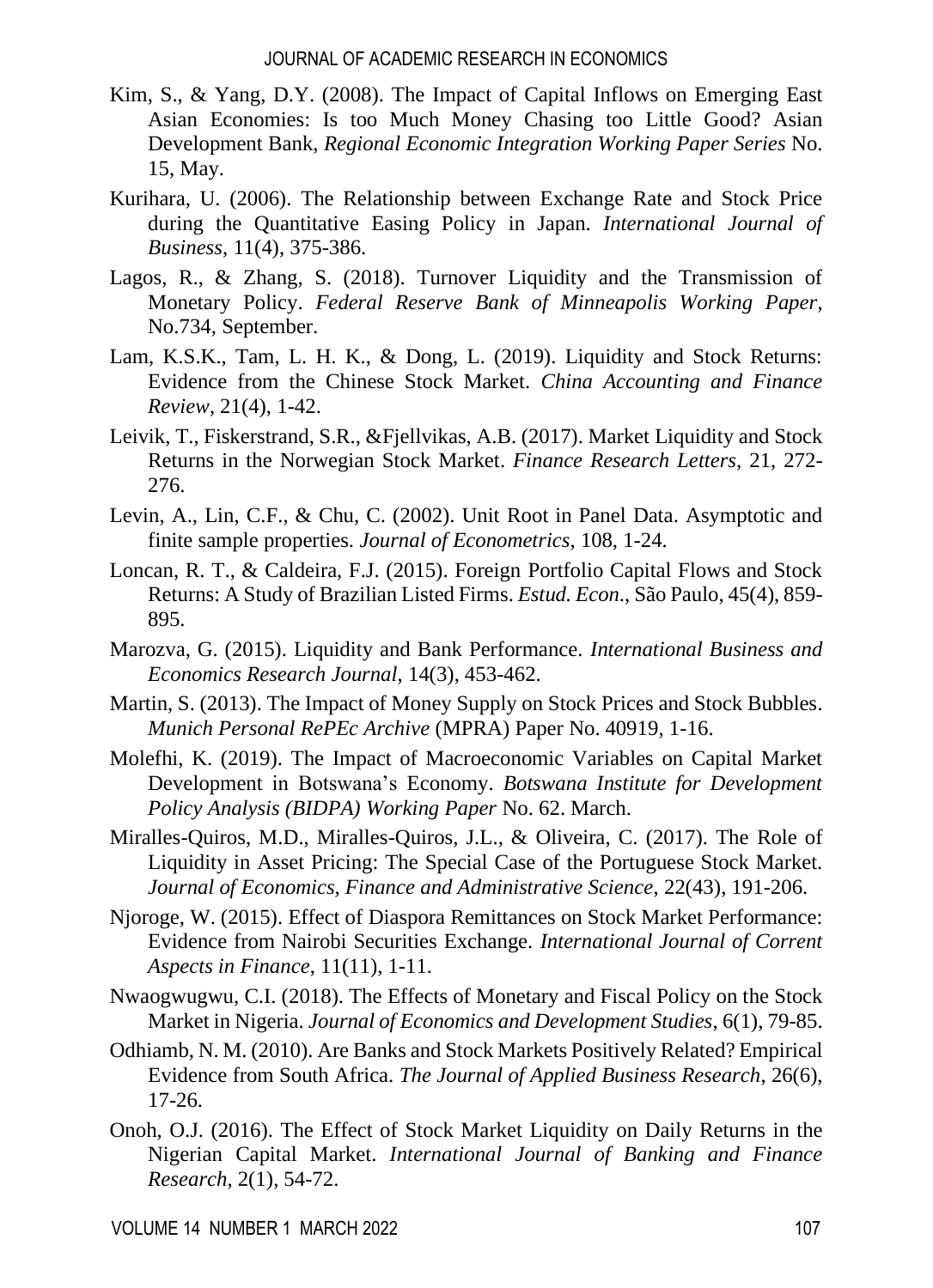- Kim, S., & Yang, D.Y. (2008). The Impact of Capital Inflows on Emerging East Asian Economies: Is too Much Money Chasing too Little Good? Asian Development Bank, *Regional Economic Integration Working Paper Series* No. 15, May.
- Kurihara, U. (2006). The Relationship between Exchange Rate and Stock Price during the Quantitative Easing Policy in Japan. *International Journal of Business*, 11(4), 375-386.
- Lagos, R., & Zhang, S. (2018). Turnover Liquidity and the Transmission of Monetary Policy. *Federal Reserve Bank of Minneapolis Working Paper*, No.734, September.
- Lam, K.S.K., Tam, L. H. K., & Dong, L. (2019). Liquidity and Stock Returns: Evidence from the Chinese Stock Market. *China Accounting and Finance Review*, 21(4), 1-42.
- Leivik, T., Fiskerstrand, S.R., &Fjellvikas, A.B. (2017). Market Liquidity and Stock Returns in the Norwegian Stock Market. *Finance Research Letters*, 21, 272- 276.
- Levin, A., Lin, C.F., & Chu, C. (2002). Unit Root in Panel Data. Asymptotic and finite sample properties. *Journal of Econometrics*, 108, 1-24.
- Loncan, R. T., & Caldeira, F.J. (2015). Foreign Portfolio Capital Flows and Stock Returns: A Study of Brazilian Listed Firms. *Estud. Econ*., São Paulo, 45(4), 859- 895.
- Marozva, G. (2015). Liquidity and Bank Performance. *International Business and Economics Research Journal*, 14(3), 453-462.
- Martin, S. (2013). The Impact of Money Supply on Stock Prices and Stock Bubbles. *Munich Personal RePEc Archive* (MPRA) Paper No. 40919, 1-16.
- Molefhi, K. (2019). The Impact of Macroeconomic Variables on Capital Market Development in Botswana's Economy. *Botswana Institute for Development Policy Analysis (BIDPA) Working Paper* No. 62. March.
- Miralles-Quiros, M.D., Miralles-Quiros, J.L., & Oliveira, C. (2017). The Role of Liquidity in Asset Pricing: The Special Case of the Portuguese Stock Market. *Journal of Economics, Finance and Administrative Science*, 22(43), 191-206.
- Njoroge, W. (2015). Effect of Diaspora Remittances on Stock Market Performance: Evidence from Nairobi Securities Exchange. *International Journal of Corrent Aspects in Finance*, 11(11), 1-11.
- Nwaogwugwu, C.I. (2018). The Effects of Monetary and Fiscal Policy on the Stock Market in Nigeria. *Journal of Economics and Development Studies*, 6(1), 79-85.
- Odhiamb, N. M. (2010). Are Banks and Stock Markets Positively Related? Empirical Evidence from South Africa. *The Journal of Applied Business Research*, 26(6), 17-26.
- Onoh, O.J. (2016). The Effect of Stock Market Liquidity on Daily Returns in the Nigerian Capital Market. *International Journal of Banking and Finance Research*, 2(1), 54-72.